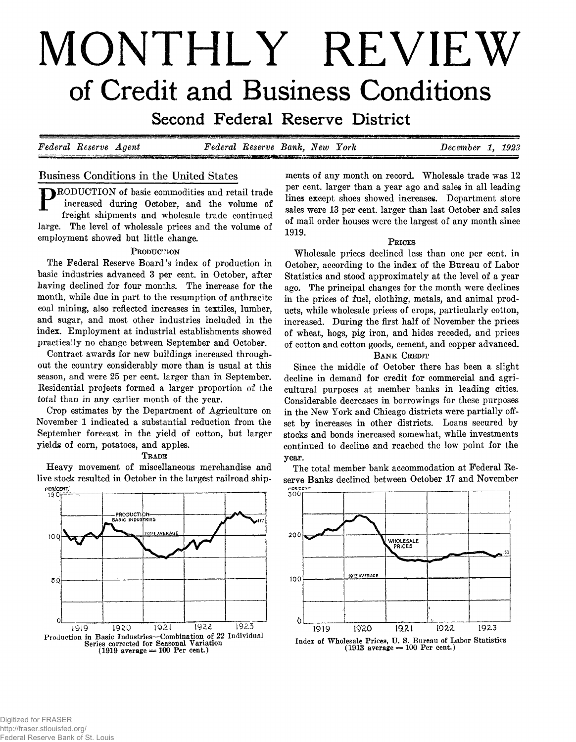# **MONTHLY REVIEW of Credit and Business Conditions**

**SECONG FEGETAL RESETVE DISTRICE** 

*Federal Reserve A gent Federal Reserve Bank, New York December 1 , 1923*

# **Business Conditions in the United States**

P **RODUCTION of basic commodities and retail trade increased during October, and the volume of freight shipments and wholesale trade continued large. The level of wholesale prices and the volume of employment showed but little change.**

## PRODUCTION

**The Federal Reserve Board's index of production in basic industries advanced 3 per cent, in October, after having declined for four months. The increase for the month, while due in part to the resumption of anthracite coal mining, also reflected increases in textiles, lumber, and sugar, and most other industries included in the index. Employment at industrial establishments showed practically no change between September and October.**

**Contract awards for new buildings increased throughout the country considerably more than is usual at this season, and were 25 per cent, larger than in September. Residential projects formed a larger proportion of the total than in any earlier month of the year.**

**Crop estimates by the Department of Agriculture on November 1 indicated a substantial reduction from the September forecast in the yield of cotton, but larger yields of corn, potatoes, and apples.**

#### **T rade**

**Heavy movement of miscellaneous merchandise and live stock resulted in October in the largest railroad ship-**



**ments of any month on record. Wholesale trade was 12 per cent, larger than a year ago and sales in all leading lines except shoes showed increases. Department store sales were 13 per cent, larger than last October and sales of mail order houses were the largest of any month since 1919.**

## **P rices**

**Wholesale prices declined less than one per cent, in October, according to the index of the Bureau of Labor Statistics and stood approximately at the level of a year ago. The principal changes for the month were declines in the prices of fuel, clothing, metals, and animal products, while wholesale prices of crops, particularly cotton, increased. During the first half of November the prices of wheat, hogs, pig iron, and hides receded, and prices of cotton and cotton goods, cement, and copper advanced.**

## **BANK CREDIT**

**Since the middle of October there has been a slight decline in demand for credit for commercial and agricultural purposes at member banks in leading cities. Considerable decreases in borrowings for these purposes in the New York and Chicago districts were partially offset by increases in other districts. Loans secured by stocks and bonds increased somewhat, while investments continued to decline and reached the low point for the year.**

**The total member bank accommodation at Federal Reserve Banks declined between October 17 and November**



**Index of Wholesale Prices, U. S. Bureau of Labor Statistics (1913 average = 100 Per cent.)**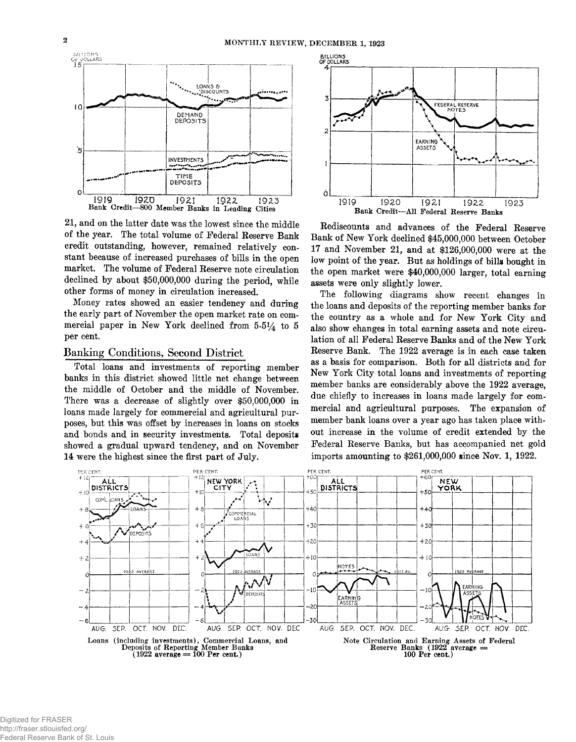

**21, and on the latter date was the lowest since the middle of the year. The total volume of Federal Reserve Bank credit outstanding, however, remained relatively constant because of increased purchases of bills in the open market. The volume of Federal Reserve note circulation declined by about \$50,000,000 during the period, while other forms of money in circulation increased.**

**Money rates showed an easier tendency and during the early part of November the open market rate on commercial paper in New York declined from 5-514 to 5 per cent.**

## **Banking Conditions, Second District**

**Total loans and investments of reporting member banks in this district showed little net change between the middle of October and the middle of November. There was a decrease of slightly over \$50,000,000 in loans made largely for commercial and agricultural purposes, but this was offset by increases in loans on stocks and bonds and in security investments. Total deposits showed a gradual upward tendency, and on November 14 were the highest since the first part of July.**



**Rediscounts and advances of the Federal Reserve Bank of New York declined \$45,000,000 between October 17 and November 21, and at \$126,000,000 were at the low point of the year. But as holdings of bilk bought in the open market were \$40,000,000 larger, total earning assets were only slightly lower.**

**The following diagrams show recent changes in the loans and deposits of the reporting member banks for the country as a whole and for New York City and also show changes in total earning assets and note circulation of all Federal Reserve Banks and of the New York Reserve Bank. The 1922 average is in each case taken as a basis for comparison. Both for all districts and for New York City total loans and investments of reporting member banks are considerably above the 1922 average, due chiefly to increases in loans made largely for commercial and agricultural purposes. The expansion of member bank loans over a year ago has taken place without increase in the volume of credit extended by the Federal Reserve Banks, but has accompanied net gold imports amounting to \$261,000,000 since Nov. 1, 1922.**

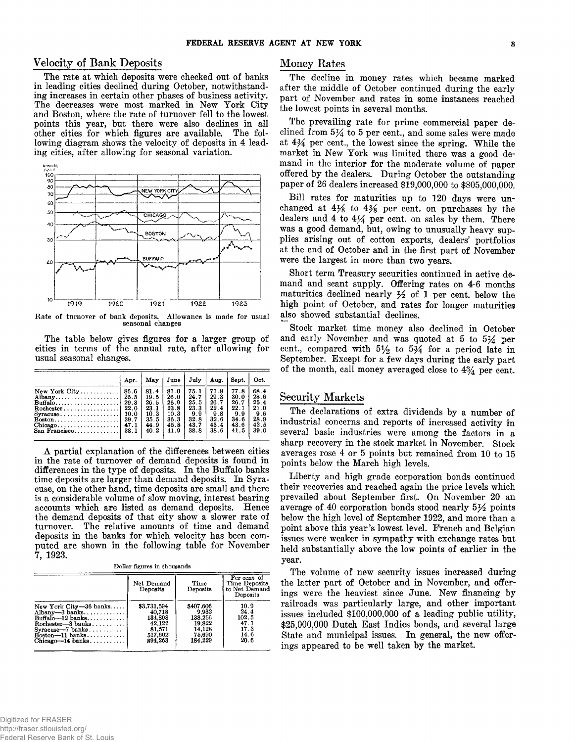## **Velocity of Bank Deposits**

**The rate at which deposits were checked out of banks in leading cities declined during October, notwithstanding increases in certain other phases of business activity. The decreases were most marked in New York City and Boston, where the rate of turnover fell to the lowest points this year, but there were also declines in all other cities for which figures are available. The following diagram shows the velocity of deposits in 4 leading cities, after allowing for seasonal variation.**



Rate of turnover of bank deposits. Allowance is made for usual seasonal changes

**The table below gives figures for a larger group of cities in terms of the annual rate, after allowing for usual seasonal changes.**

|                                                                                                                                                                                                                                                            | Apr.                                                         | May                                                          | June                                                         | July                                                       | Aug.                                                        | Sept.                                                       | Oct.                                                        |
|------------------------------------------------------------------------------------------------------------------------------------------------------------------------------------------------------------------------------------------------------------|--------------------------------------------------------------|--------------------------------------------------------------|--------------------------------------------------------------|------------------------------------------------------------|-------------------------------------------------------------|-------------------------------------------------------------|-------------------------------------------------------------|
| $New York City \ldots \ldots \ldots$<br>Albany<br>$\text{Buffalo} \dots \dots \dots \dots \dots \dots$<br>$Rochester$<br>Syracuse<br>$\text{Boston} \dots \dots \dots \dots \dots \dots \dots$<br>$Chieago \ldots \ldots \ldots \ldots$<br>$San$ Francisco | 86.6<br>25.5<br>29.3<br>22.0<br>10.0<br>39.7<br>47.1<br>38.1 | 81.4<br>19.5<br>26.5<br>23.1<br>10.3<br>35.5<br>44.9<br>40.2 | 81.0<br>26.0<br>26.9<br>23.8<br>10.3<br>36.3<br>45.8<br>41.9 | 75.1<br>24.7<br>25.5<br>23.3<br>99<br>32.8<br>43.7<br>38.8 | 71.8<br>29.3<br>26.7<br>22.4<br>9.8<br>32.6<br>43.4<br>38.6 | 77.8<br>30.0<br>26.7<br>22.1<br>9.9<br>34.6<br>43.6<br>41.5 | 68.4<br>28.6<br>25.4<br>21.0<br>9.6<br>28.9<br>42.5<br>39.0 |
|                                                                                                                                                                                                                                                            |                                                              |                                                              |                                                              |                                                            |                                                             |                                                             |                                                             |

**A partial explanation of the differences between cities in the rate of turnover of demand deposits is found in differences in the type of deposits. In the Buffalo banks time deposits are larger than demand deposits. In Syracuse, on the other hand, time deposits are small and there is a considerable volume of slow moving, interest bearing accounts which are listed as demand deposits. Hence the demand deposits of that city show a slower rate of turnover. The relative amounts of time and demand deposits in the banks for which velocity has been computed are shown in the following table for November 7, 1923.**

|  |  |  | Dollar figures in thousands |
|--|--|--|-----------------------------|
|--|--|--|-----------------------------|

|                                    | Net Demand<br>Deposits | Time<br>Deposits | Per cent of<br>Time Deposits<br>to Net Demand<br>Deposits |
|------------------------------------|------------------------|------------------|-----------------------------------------------------------|
| New York City-36 banks             | \$3,731,594            | \$407,606        | 10.9                                                      |
| $Albany-3 banks$                   | 40.718                 | 9.932            | 24.4                                                      |
| $BuffaIo-12$ banks                 | 134,898                | 138,256          | 102.5                                                     |
| $Rochester-3 banks$                | 42.122                 | 19.822           | 47.1                                                      |
| $Syracuse - 7 banks \ldots \ldots$ | 81,571                 | 14.128           | 17.3                                                      |
| $Boston -11$ banks                 | 517.602                | 75,690           | 14.6                                                      |
| $Chieasc-14 banks$                 | 894.263                | 184.229          | 20.6                                                      |

#### **Money Rates**

**The decline in money rates which became marked after the middle of October continued during the early part of November and rates in some instances reached the lowest points in several months.**

**The prevailing rate for prime commercial paper declined from 5\*4 to 5 per cent., and some sales were made at 4% per cent., the lowest since the spring. While the market in New York was limited there was a good demand in the interior for the moderate volume of paper offered by the dealers. During October the outstanding paper of 26 dealers increased \$19,000,000 to \$805,000,000.**

**Bill rates for maturities up to 120 days were un**changed at  $4\frac{1}{8}$  to  $4\frac{3}{8}$  per cent, on purchases by the dealers and  $4$  to  $4\frac{1}{4}$  per cent, on sales by them. There **was a good demand, but, owing to unusually heavy supplies arising out of cotton exports, dealers portfolios at the end of October and in the first part of November were the largest in more than two years.**

**Short term Treasury securities continued in active demand and scant supply. Offering rates on 4-6 months maturities declined nearly** *y2* **of 1 per cent, below the high point of October, and rates for longer maturities also showed substantial declines.**

**Stock market time money also declined in October and early November and was quoted at 5 to 5J4 per** cent., compared with  $5\frac{1}{2}$  to  $5\frac{3}{4}$  for a period late in **September. Except for a few days during the early part of the month, call money averaged close to 4% per cent.**

# **Security Markets**

**The declarations of extra dividends by a number of industrial concerns and reports of increased activity in several basic industries were among the factors in a sharp recovery in the stock market in November. Stock averages rose 4 or 5 points but remained from 10 to 15 points below the March high levels.**

**Liberty and high grade corporation bonds continued their recoveries and reached again the price levels which prevailed about September first. On November 20 an average of 40 corporation bonds stood nearly** *§y2* **points below the high level of September 1922, and more than a point above this year's lowest level. French and Belgian issues were weaker in sympathy with exchange rates but held substantially above the low points of earlier in the year.**

**The volume of new security issues increased during the latter part of October and in November, and offerings were the heaviest since June. New financing by railroads was particularly large, and other important issues included \$100,000,000 of a leading public utility, \$25,000,000 Dutch East Indies bonds, and several large State and municipal issues. In general, the new offerings appeared to be well taken by the market.**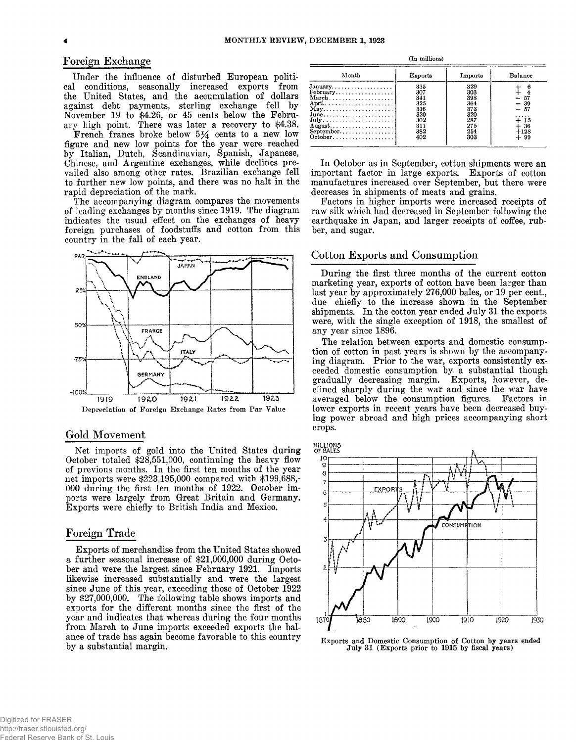## **Foreign Exchange**

**Under the influence of disturbed European political conditions, seasonally increased exports from the United States, and the accumulation of dollars against debt payments, sterling exchange fell by November 19 to \$4.26, or 45 cents below the February high point. There was later a recovery to \$4.38.**

**French francs broke below 5^4 cents to a new low figure and new low points for the year were reached by Italian, Dutch, Scandinavian, Spanish, Japanese, Chinese, and Argentine exchanges, while declines prevailed also among other rates. Brazilian exchange fell to further new low points, and there was no halt in the rapid depreciation of the mark.**

**The accompanying diagram compares the movements of leading exchanges by months since 1919. The diagram indicates the usual effect on the exchanges of heavy foreign purchases of foodstuffs and cotton from this country in the fall of each year.**



#### **Gold Movement**

**Net imports of gold into the United States during October totaled \$28,551,000, continuing the heavy flow of previous months. In the first ten months of the year net imports were \$223,195,000 compared with \$199,688,- 000 during the first ten months of 1922. October imports were largely from Great Britain and Germany. Exports were chiefly to British India and Mexico.**

### **Foreign Trade**

**Exports of merchandise from the United States showed a further seasonal increase of \$21,000,000 during October and were the largest since February 1921. Imports likewise increased substantially and were the largest since June of this year, exceeding those of October 1922 by \$27,000,000. The following table shows imports and exports for the different months since the first of the year and indicates that whereas during the four months from March to June imports exceeded exports the balance of trade has again become favorable to this country by a substantial margin.**

| (In millions)                                          |         |         |         |  |  |  |
|--------------------------------------------------------|---------|---------|---------|--|--|--|
| Month                                                  | Exports | Imports | Balance |  |  |  |
| $January. \ldots. \ldots. \ldots. \ldots.$             | 335     | 329     | 6       |  |  |  |
| $February$                                             | 307     | 303     | 4       |  |  |  |
| $March \ldots \ldots \ldots \ldots \ldots \ldots$      | 341     | 398     | 57      |  |  |  |
|                                                        | 325     | 364     | $-39$   |  |  |  |
| $\text{May}\ldots\ldots\ldots\ldots\ldots\ldots$       | 316     | 373     | -57     |  |  |  |
| $June$                                                 | 320     | 320     |         |  |  |  |
| $July \dots \dots \dots \dots \dots \dots \dots \dots$ | 302     | 287     | + 15    |  |  |  |
| $August$                                               | 311     | 275     | ⊦ 36    |  |  |  |
| September                                              | 382     | 254     | +128    |  |  |  |
| $October \dots \dots \dots \dots \dots \dots$          | 402     | 303     | $+99$   |  |  |  |

**In October as in September, cotton shipments were an important factor in large exports. Exports of cotton manufactures increased over September, but there were decreases in shipments of meats and grains.**

**Factors in higher imports were increased receipts of raw silk which had decreased in September following the earthquake in Japan, and larger receipts of coffee, rubber, and sugar.**

# **Cotton Exports and Consumption**

**During the first three months of the current cotton marketing year, exports of cotton have been larger than last year by approximately 276,000 bales, or 19 per cent., due chiefly to the increase shown in the September shipments. In the cotton year ended July 31 the exports were, with the single exception of 1918, the smallest of any year since 1896.**

**The relation between exports and domestic consumption of cotton in past years is shown by the accompanying diagram. Prior to the war, exports consistently exceeded domestic consumption by a substantial though gradually decreasing margin. Exports, however, declined sharply during the war and since the war have averaged below the consumption figures. Factors in lower exports in recent years have been decreased buying power abroad and high prices accompanying short crops.**





Exports and Domestic Consumption of Cotton by years ended July 31 (Exports prior to 1915 by fiscal years)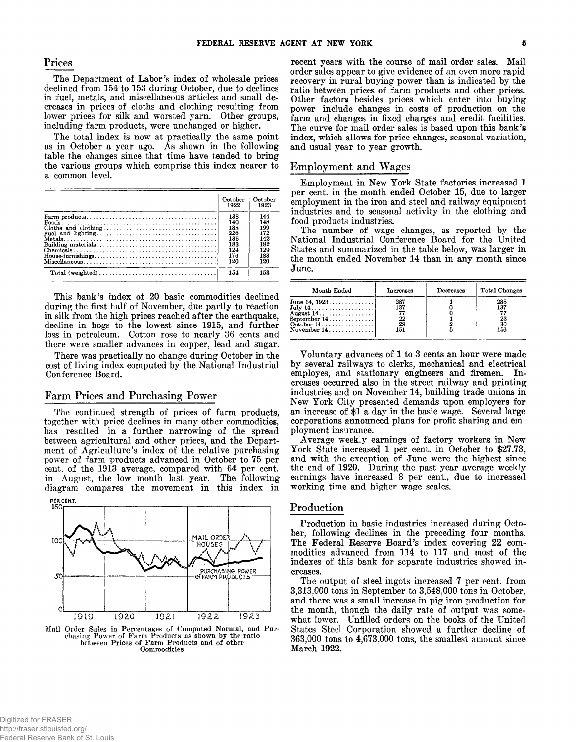## **Prices**

**The Department of Labor's index of wholesale prices declined from 154 to 153 during October, due to declines in fuel, metals, and miscellaneous articles and small decreases in prices of cloths and clothing resulting from lower prices for silk and worsted yarn. Other groups, including farm products, were unchanged or higher.**

**The total index is now at practically the same point as in October a year ago. As shown in the following table the changes since that time have tended to bring the various groups which comprise this index nearer to a common level.**

|                                                                                                   | October<br>1922 | October<br>1923 |
|---------------------------------------------------------------------------------------------------|-----------------|-----------------|
|                                                                                                   | 138             | 144             |
|                                                                                                   | 140             | 148             |
|                                                                                                   | 188             | 199             |
|                                                                                                   | 226             | 172             |
|                                                                                                   | 135             | 142             |
|                                                                                                   | 183             | 182             |
|                                                                                                   | 124             | 129             |
| $House-furnishing s \ldots \ldots \ldots \ldots \ldots \ldots \ldots \ldots \ldots \ldots \ldots$ | 176             | 183             |
|                                                                                                   | 120             | 120             |
|                                                                                                   | 154             | 153             |

**This bank's index of 20 basic commodities declined during the first half of November, due partly to reaction in silk from the high prices reached after the earthquake, decline in hogs to the lowest since 1915, and further loss in petroleum. Cotton rose to nearly 36 cents and there were smaller advances in copper, lead and sugar.**

**There was practically no change during October in the cost of living index computed by the National Industrial Conference Board.**

## **Farm Prices and Purchasing Power**

**The continued strength of prices of farm products, together with price declines in many other commodities, has resulted in a further narrowing of the spread between agricultural and other prices, and the Department of Agriculture's index of the relative purchasing power of farm products advanced in October to 75 per cent, of the 1913 average, compared with 64 per cent, in August, the low month last year. The following diagram compares the movement in this index in**



Mail Order Sales in Percentages of Computed Normal, and Pur-chasing Power of Farm Products as shown by the ratio between Prices of Farm Products and of other Commodities

**recent years with the course of mail order sales. Mail order sales appear to give evidence of an even more rapid recovery in rural buying power than is indicated by the ratio between prices of farm products and other prices. Other factors besides prices which enter into buying power include changes in costs of production on the farm and changes in fixed charges and credit facilities. The curve for mail order sales is based upon this bank's index, which allows for price changes, seasonal variation, and usual year to year growth.**

### **Employment and Wages**

**Employment in New York State factories increased 1 per cent, in the month ended October 15, due to larger employment in the iron and steel and railway equipment industries and to seasonal activity in the clothing and food products industries.**

**The number of wage changes, as reported by the National Industrial Conference Board for the United States and summarized in the table below, was larger in the month ended November 14 than in any month since June.**

| Month Ended                                                                                  | Increases                     | Decreases | <b>Total Changes</b>          |
|----------------------------------------------------------------------------------------------|-------------------------------|-----------|-------------------------------|
| June 14, 1923<br>July $14$<br>August $14$<br>September $14$<br>October $14$<br>November $14$ | 287<br>137<br>22<br>28<br>151 |           | 288<br>137<br>23<br>30<br>156 |

**Voluntary advances of 1 to 3 cents an hour were made by several railways to clerks, mechanical and electrical employes, and stationary engineers and firemen. Increases occurred also in the street railway and printing industries and on November 14, building trade unions in New York City presented demands upon employers for an increase of \$1 a day in the basic wage. Several large corporations announced plans for profit sharing and employment insurance.**

**Average weekly earnings of factory workers in New York State increased 1 per cent, in October to \$27.73, and with the exception of June were the highest since the end of 1920. During the past year average weekly earnings have increased 8 per cent., due to increased working time and higher wage scales.**

#### **Production**

**Production in basic industries increased during October, following declines in the preceding four months. The Federal Reserve Board's index covering 22 commodities advanced from 114 to 117 and most of the indexes of this bank for separate industries showed increases.**

**The output of steel ingots increased 7 per cent, from 3.313.000 tons in September to 3,548,000 tons in October, and there was a small increase in pig iron production for the month, though the daily rate of output was somewhat lower. Unfilled orders on the books of the United States Steel Corporation showed a further decline of 363.000 tons to 4,673,000 tons, the smallest amount since March 1922.**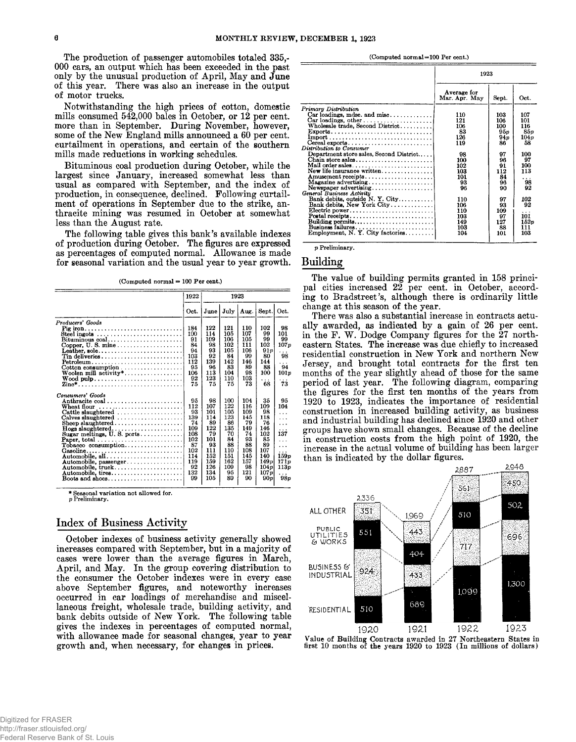**The production of passenger automobiles totaled 335,- 000 cars, an output which has been exceeded in the past only by the unusual production of April, May and June of this year. There was also an increase in the output of motor trucks.**

**Notwithstanding the high prices of cotton, domestic mills consumed 542,000 bales in October, or 12 per cent, more than in September. During November, however, some of the New England mills announced a 60 per cent, curtailment in operations, and certain of the southern mills made reductions in working schedules.**

**Bituminous coal production during October, while the largest since January, increased somewhat less than usual as compared with September, and the index of production, in consequence, declined. Following curtailment of operations in September due to the strike, anthracite mining was resumed in October at somewhat less than the August rate.**

**The following table gives this bank's available indexes of production during October. The figures are expressed as percentages of computed normal. Allowance is made for seasonal variation and the usual year to year growth.**

(Computed normal = 100 Per cent.)

|                                                                            | 1922 |      | 1923 |      |       |        |
|----------------------------------------------------------------------------|------|------|------|------|-------|--------|
|                                                                            | Oct. | June | July | Aug. | Sept. | Oct.   |
| Producers' Goods                                                           |      |      |      |      |       |        |
| Pig iron                                                                   | 184  | 122  | 121  | 110  | 102   | 98     |
| Steel ingots $\ldots \ldots \ldots \ldots \ldots \ldots \ldots$            | 100  | 114  | 105  | 107  | 99    | 101    |
| $Bituminous coal.\dots \dots \dots \dots \dots \dots \dots \dots$          | 91   | 109  | 106  | 105  | 99    | 99     |
| Copper, U.S. mine                                                          | 84   | 98   | 102  | 111  | 102   | 107p   |
| Leather, sole                                                              | 94   | 93   | 105  | 106  | 91p   | .      |
|                                                                            | 103  | 92   | 84   | 99   | 80    | 98     |
| $Petroleum \ldots \ldots \ldots \ldots \ldots \ldots \ldots \ldots \ldots$ | 112  | 139  | 142  | 146  | 144   | .      |
|                                                                            | 95   | 96   | 83   | 89   | 88    | 94     |
| Woolen mill $activity$ *                                                   | 106  | 113  | 104  | 98   | 100   | 101p   |
| Wood $\text{pulp} \dots \dots \dots \dots \dots \dots \dots \dots \dots$   | 92   | 123  | 110  | 103  | .     | .      |
|                                                                            | 75   | 75   | 75   | 73   | 68    | 73     |
| Consumers' Goods                                                           |      |      |      |      |       |        |
|                                                                            | 95   | 98   | 100  | 104  | 35    | 95     |
| Wheat flour                                                                | 112  | 107  | 122  | 116  | 109   | 104    |
|                                                                            | 93   | 101  | 105  | 109  | 98    | .      |
| $Calves$ slaughtered $\ldots \ldots \ldots \ldots \ldots$                  | 139  | 114  | 123  | 145  | 118   | .      |
| Sheep slaughtered                                                          | 74   | 89   | 86   | 79   | 76    | .      |
| $Hogs$ slaughtered                                                         | 109  | 122  | 135  | 149  | 146   | .      |
| Sugar meltings, U.S. ports                                                 | 108  | 79   | 70   | 74   | 102   | 137    |
|                                                                            | 102  | 101  | 84   | 93   | 85    | .      |
| $Tobacco$ consumption                                                      | 87   | 93   | 88   | 88   | 89    | .      |
| Gasoline                                                                   | 102  | 111  | 110  | 108  | 107   |        |
| Automobile, all                                                            | 114  | 152  | 151  | 145  | 140   | 159p   |
| Automobile, passenger                                                      | 119  | 159  | 162  | 157  | 149p  | 17 l p |
| Automobile, truck                                                          | 92   | 126  | 109  | 98   | 104p  | 113p   |
| Automobile, tires                                                          | 132  | 134  | 95   | 121  | 107p  | .      |
|                                                                            | 99   | 105  | 89   | 90   | 90p   | 98p    |
|                                                                            |      |      |      |      |       |        |

\* Seasonal variation not allowed for.

p Preliminary.

## **Index of Business Activity**

**October indexes of business activity generally showed increases compared with September, but in a majority of cases were lower than the average figures in March, April, and May. In the group covering distribution to the consumer the October indexes were in every case above September figures, and noteworthy increases occurred in car loadings of merchandise and miscellaneous freight, wholesale trade, building activity, and bank debits outside of New York. The following table gives the indexes in percentages of computed normal, with allowance made for seasonal changes, year to year growth and, when necessary, for changes in prices.**

(Computed normal=100 Per cent.)

|                                                                                      | 1923                         |       |                      |
|--------------------------------------------------------------------------------------|------------------------------|-------|----------------------|
|                                                                                      | Average for<br>Mar. Apr. May | Sept. | Oct.                 |
| Primary Distribution                                                                 |                              |       |                      |
| $Car$ loadings, mdse. and misc                                                       | 110                          | 103   | 107                  |
| Car loadings, other $\ldots \ldots \ldots \ldots \ldots$                             | 121                          | 106   | 101                  |
| Wholesale trade, Second District                                                     | 106                          | 100   | 116                  |
| Exports                                                                              | 83                           | 95p   | 85 p                 |
|                                                                                      | 126                          | 94 p  | 104p                 |
| Cereal exports                                                                       | 119                          | 86    | 58                   |
| Distribution to Consumer                                                             |                              |       |                      |
| Department store sales, Second District                                              | 98                           | 97    | 100                  |
| Chain store sales                                                                    | 100                          | 96    | 97                   |
| Mail order sales $\dots \dots \dots \dots \dots \dots$                               | 102                          | 91    | 100                  |
| New life insurance written                                                           | 103                          | 112   | 113                  |
| Amusement receipts                                                                   | 101                          | 84    | $\ddot{\phantom{1}}$ |
| Magazine advertising                                                                 | 93                           | 96    | 98                   |
| Newspaper advertising                                                                | 96                           | 90    | 92                   |
| General Business Activity                                                            |                              |       |                      |
| Bank debits, outside N. Y. City                                                      | 110                          | 97    | 102                  |
| Bank debits, New York City                                                           | 106                          | 93    | 92                   |
|                                                                                      | 110                          | 109   |                      |
| $\textbf{Potential}\ \textbf{received}\dots\dots\dots\dots\dots\dots\dots\dots\dots$ | 103                          | 97    | 101                  |
| Building permits                                                                     | 149                          | 127   | 152n                 |
| Business failures                                                                    | 103                          | 88    | 111                  |
| Employment, N. Y. City factories                                                     | 104                          | 101   | 103                  |

p Preliminary.

# **Building**

**The value of building permits granted in 158 principal cities increased 22 per cent, in October, according to Bradstreet's, although there is ordinarily little change at this season of the year.**

**There was also a substantial increase in contracts actually awarded, as indicated by a gain of 26 per cent,** in the F. W. Dodge Company figures for the 27 north**eastern States. The increase was due chiefly to increased residential construction in New York and northern New Jersey, and brought total contracts for the first ten months of the year slightly ahead of those for the same period of last year. The following diagram, comparing the figures for the first ten months of the years from 1920 to 1923, indicates the importance of residential construction in increased building activity, as business and industrial building has declined since 1920 and other groups have shown small changes. Because of the decline in construction costs from the high point of 1920, the increase in the actual volume of building has been larger than is indicated by the dollar figures.**



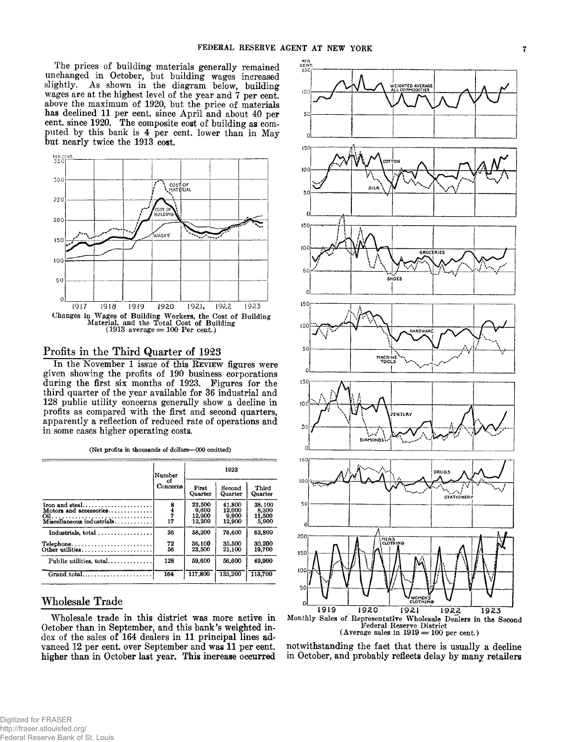**The prices of building materials generally remained unchanged in October, but building wages increased slightly. As shown in the diagram below, building wages are at the highest level of the year and 7 per cent, above the maximum of 1920, but the price of materials has declined 11 per cent, since April and about 40 per cent, since 1920. The composite cost of building as computed by this bank is 4 per cent, lower than in May but nearly twice the 1913 cost.**



## **Profits in the Third Quarter of 1923**

In the November 1 issue of this REVIEW figures were **given showing the profits of 190 business corporations during the first six months of 1923. Figures for the third quarter of the year available for 36 industrial and 128 public utility concerns generally show a decline in profits as compared with the first and second quarters, apparently a reflection of reduced rate of operations and in some cases higher operating costs.**

| (Net profits in thousands of dollars-000 omitted) |  |
|---------------------------------------------------|--|
|---------------------------------------------------|--|

|                                                                                       | Number                   | 1923                                |                                     |                                    |  |
|---------------------------------------------------------------------------------------|--------------------------|-------------------------------------|-------------------------------------|------------------------------------|--|
|                                                                                       | οf<br>Concerns           | First<br>Quarter                    | Second<br>Quarter                   | Third<br>Quarter                   |  |
| Motors and accessories                                                                | 8<br>$\frac{1}{7}$<br>17 | 23,500<br>9,600<br>12,900<br>12,200 | 41.800<br>12.000<br>9,900<br>12,900 | 38.100<br>8.300<br>11,500<br>5,900 |  |
|                                                                                       | 36                       | 58.200                              | 76,600                              | 63,800                             |  |
| $\text{Telephone} \dots \dots \dots \dots \dots \dots \dots \dots$<br>Other utilities | 72<br>56                 | 36,100<br>23,500                    | 35,500<br>21.100                    | 30.200<br>19,700                   |  |
| Public utilities, total                                                               | 128                      | 59.600                              | 56.600                              | 49.900                             |  |
|                                                                                       | 164                      | 117,800                             | 133,200                             | 113,700                            |  |

# **Wholesale Trade**

**Wholesale trade in this district was more active in October than in September, and this bank's weighted index of the sales of 164 dealers in 11 principal lines advanced 12 per cent, over September and was 11 per cent, higher than in October last year. This increase occurred**



**notwithstanding the fact that there is usually a decline in October, and probably reflects delay by many retailers**